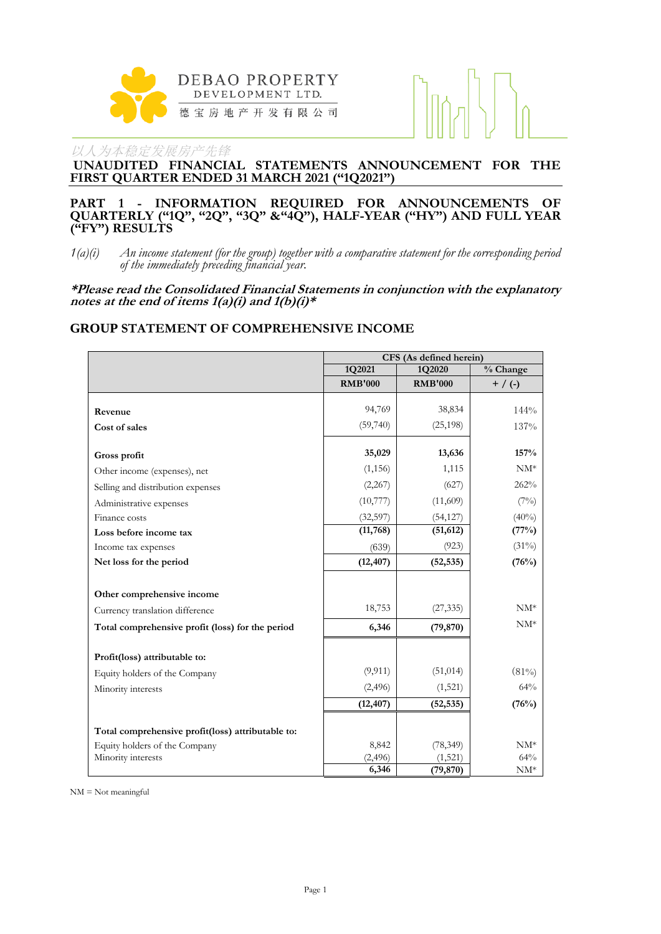

**UNAUDITED FINANCIAL STATEMENTS ANNOUNCEMENT FOR THE FIRST QUARTER ENDED 31 MARCH 2021 ("1Q2021")**

#### **PART 1 - INFORMATION REQUIRED FOR ANNOUNCEMENTS OF QUARTERLY ("1Q", "2Q", "3Q" &"4Q"), HALF-YEAR ("HY") AND FULL YEAR ("FY") RESULTS**

*1(a)(i) An income statement (for the group) together with a comparative statement for the corresponding period of the immediately preceding financial year.*

**\*Please read the Consolidated Financial Statements in conjunction with the explanatory notes at the end of items 1(a)(i) and 1(b)(i)\***

#### **GROUP STATEMENT OF COMPREHENSIVE INCOME**

|                                                   | CFS (As defined herein) |                      |                                |  |
|---------------------------------------------------|-------------------------|----------------------|--------------------------------|--|
|                                                   | 1Q2021                  | 1Q2020               | $\sqrt[9]{\phantom{1}}$ Change |  |
|                                                   | <b>RMB'000</b>          | <b>RMB'000</b>       | $+$ / (-)                      |  |
|                                                   |                         |                      |                                |  |
| Revenue                                           | 94,769                  | 38,834               | 144%                           |  |
| Cost of sales                                     | (59,740)                | (25, 198)            | 137%                           |  |
| Gross profit                                      | 35,029                  | 13,636               | 157%                           |  |
| Other income (expenses), net                      | (1, 156)                | 1,115                | $NM^*$                         |  |
| Selling and distribution expenses                 | (2,267)                 | (627)                | 262%                           |  |
| Administrative expenses                           | (10,777)                | (11,609)             | (7%)                           |  |
| Finance costs                                     | (32, 597)               | (54, 127)            | $(40\%)$                       |  |
| Loss before income tax                            | (11,768)                | (51, 612)            | (77%)                          |  |
| Income tax expenses                               | (639)                   | (923)                | $(31\%)$                       |  |
| Net loss for the period                           | (12, 407)               | (52, 535)            | (76%)                          |  |
|                                                   |                         |                      |                                |  |
| Other comprehensive income                        |                         |                      |                                |  |
| Currency translation difference                   | 18,753                  | (27, 335)            | $NM^*$                         |  |
| Total comprehensive profit (loss) for the period  | 6,346                   | (79, 870)            | $NM^*$                         |  |
| Profit(loss) attributable to:                     |                         |                      |                                |  |
| Equity holders of the Company                     | (9, 911)                | (51, 014)            | (81%)                          |  |
| Minority interests                                | (2,496)                 | (1,521)              | 64%                            |  |
|                                                   | (12, 407)               | (52, 535)            | (76%)                          |  |
|                                                   |                         |                      |                                |  |
| Total comprehensive profit(loss) attributable to: |                         |                      |                                |  |
| Equity holders of the Company                     | 8,842<br>(2, 496)       | (78, 349)<br>(1,521) | $NM^*$<br>64%                  |  |
| Minority interests                                | 6,346                   | (79, 870)            | $NM^*$                         |  |

NM = Not meaningful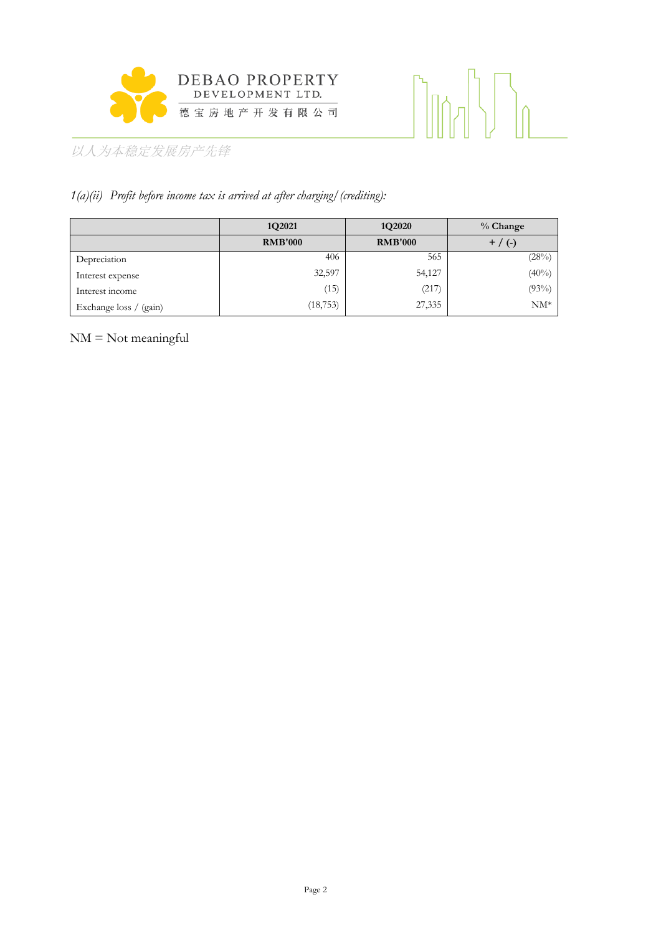

# 

以人为本稳定发展房产先锋

# *1(a)(ii) Profit before income tax is arrived at after charging/(crediting):*

|                        | 1Q2021         | 1Q2020         | $%$ Change |
|------------------------|----------------|----------------|------------|
|                        | <b>RMB'000</b> | <b>RMB'000</b> | $+$ / (-)  |
| Depreciation           | 406            | 565            | (28%)      |
| Interest expense       | 32,597         | 54,127         | $(40\%)$   |
| Interest income        | (15)           | (217           | (93%)      |
| Exchange loss / (gain) | (18, 753)      | 27,335         | $NM^*$     |

NM = Not meaningful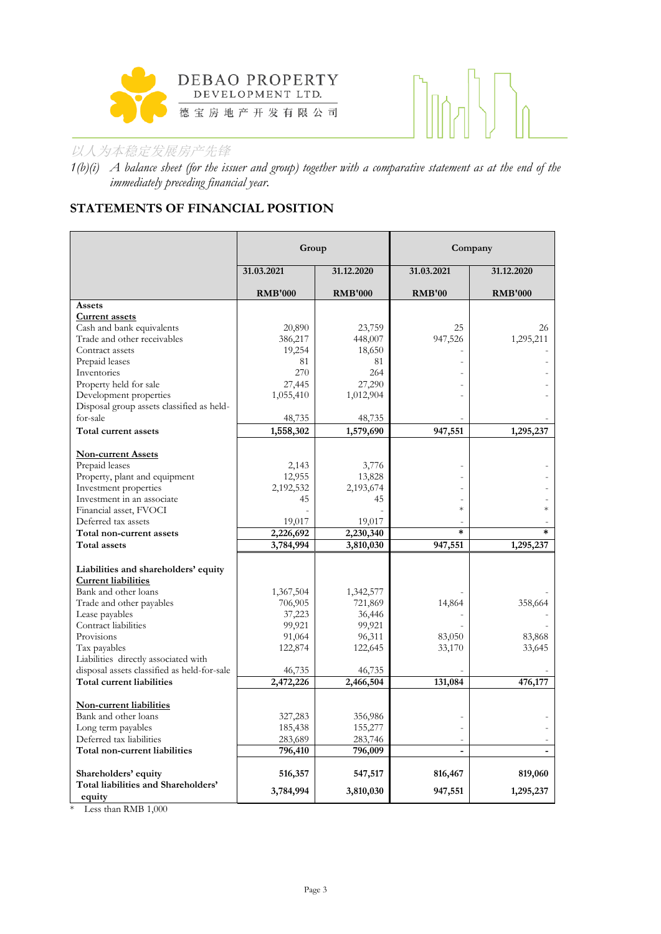



*1(b)(i) A balance sheet (for the issuer and group) together with a comparative statement as at the end of the immediately preceding financial year.*

# **STATEMENTS OF FINANCIAL POSITION**

|                                               | Group          |                |                | Company        |
|-----------------------------------------------|----------------|----------------|----------------|----------------|
|                                               | 31.03.2021     | 31.12.2020     | 31.03.2021     | 31.12.2020     |
|                                               | <b>RMB'000</b> | <b>RMB'000</b> | <b>RMB'00</b>  | <b>RMB'000</b> |
| Assets                                        |                |                |                |                |
| <b>Current assets</b>                         |                |                |                |                |
| Cash and bank equivalents                     | 20,890         | 23,759         | 25             | 26             |
| Trade and other receivables                   | 386,217        | 448,007        | 947,526        | 1,295,211      |
| Contract assets                               | 19,254         | 18,650         |                |                |
| Prepaid leases<br>Inventories                 | 81<br>270      | 81<br>264      |                |                |
| Property held for sale                        | 27,445         | 27,290         |                |                |
| Development properties                        | 1,055,410      | 1,012,904      |                |                |
| Disposal group assets classified as held-     |                |                |                |                |
| for-sale                                      | 48,735         | 48,735         |                |                |
| Total current assets                          | 1,558,302      | 1,579,690      | 947,551        | 1,295,237      |
|                                               |                |                |                |                |
| <b>Non-current Assets</b>                     |                |                |                |                |
| Prepaid leases                                | 2,143          | 3,776          |                |                |
| Property, plant and equipment                 | 12,955         | 13,828         |                |                |
| Investment properties                         | 2,192,532      | 2,193,674      |                |                |
| Investment in an associate                    | 45             | 45             | $\ast$         |                |
| Financial asset, FVOCI                        |                |                |                |                |
| Deferred tax assets                           | 19,017         | 19,017         | $\ast$         | $\ast$         |
| Total non-current assets                      | 2,226,692      | 2,230,340      |                |                |
| <b>Total assets</b>                           | 3,784,994      | 3,810,030      | 947,551        | 1,295,237      |
| Liabilities and shareholders' equity          |                |                |                |                |
| <b>Current liabilities</b>                    |                |                |                |                |
| Bank and other loans                          | 1,367,504      | 1,342,577      |                |                |
| Trade and other payables                      | 706,905        | 721,869        | 14,864         | 358,664        |
| Lease payables                                | 37,223         | 36,446         |                |                |
| Contract liabilities                          | 99,921         | 99,921         |                |                |
| Provisions                                    | 91,064         | 96,311         | 83,050         | 83,868         |
| Tax payables                                  | 122,874        | 122,645        | 33,170         | 33,645         |
| Liabilities directly associated with          |                |                |                |                |
| disposal assets classified as held-for-sale   | 46,735         | 46,735         |                |                |
| Total current liabilities                     | 2,472,226      | 2,466,504      | 131,084        | 476,177        |
| <b>Non-current liabilities</b>                |                |                |                |                |
| Bank and other loans                          | 327,283        | 356,986        |                |                |
| Long term payables                            | 185,438        | 155,277        |                |                |
| Deferred tax liabilities                      | 283,689        | 283,746        |                |                |
| Total non-current liabilities                 | 796,410        | 796,009        | $\overline{a}$ |                |
|                                               |                |                |                |                |
| Shareholders' equity                          | 516,357        | 547,517        | 816,467        | 819,060        |
| Total liabilities and Shareholders'<br>equity | 3,784,994      | 3,810,030      | 947,551        | 1,295,237      |

\* Less than RMB 1,000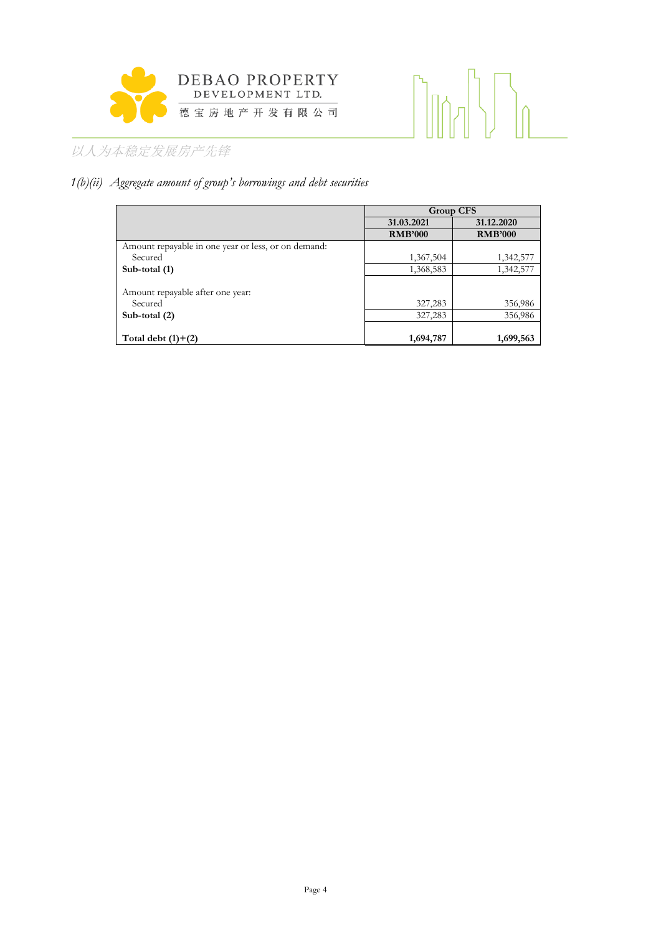

# 

# 以人为本稳定发展房产先锋

# *1(b)(ii) Aggregate amount of group's borrowings and debt securities*

|                                                     | <b>Group CFS</b> |                |  |
|-----------------------------------------------------|------------------|----------------|--|
|                                                     | 31.03.2021       | 31.12.2020     |  |
|                                                     | <b>RMB'000</b>   | <b>RMB'000</b> |  |
| Amount repayable in one year or less, or on demand: |                  |                |  |
| Secured                                             | 1,367,504        | 1,342,577      |  |
| Sub-total (1)                                       | 1,368,583        | 1,342,577      |  |
|                                                     |                  |                |  |
| Amount repayable after one year:                    |                  |                |  |
| Secured                                             | 327,283          | 356,986        |  |
| Sub-total $(2)$                                     | 327,283          | 356,986        |  |
|                                                     |                  |                |  |
| Total debt $(1)+(2)$                                | 1,694,787        | 1,699,563      |  |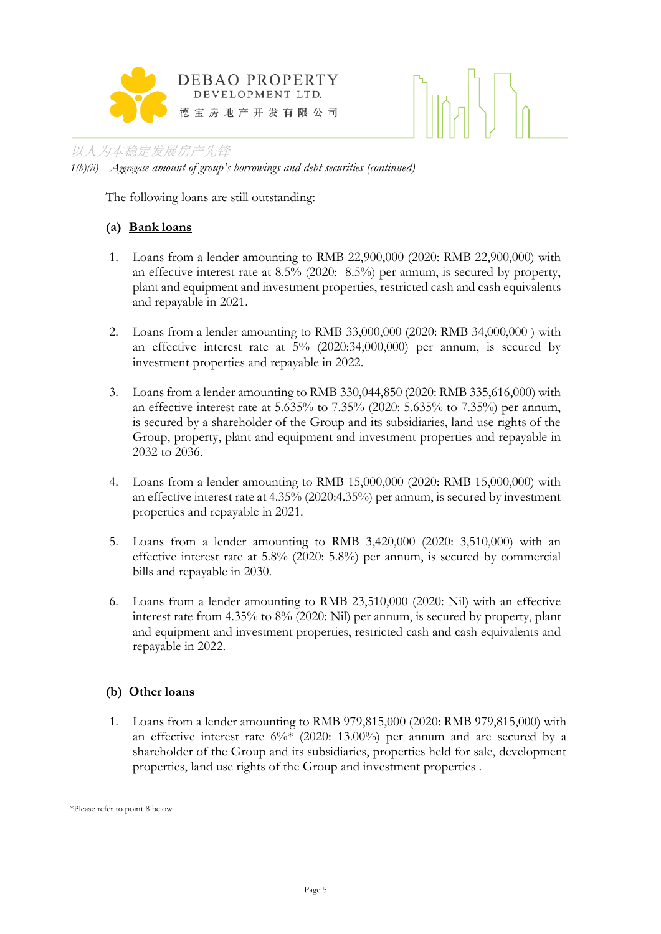

*1(b)(ii) Aggregate amount of group's borrowings and debt securities (continued)*

The following loans are still outstanding:

# **(a) Bank loans**

- 1. Loans from a lender amounting to RMB 22,900,000 (2020: RMB 22,900,000) with an effective interest rate at 8.5% (2020: 8.5%) per annum, is secured by property, plant and equipment and investment properties, restricted cash and cash equivalents and repayable in 2021.
- 2. Loans from a lender amounting to RMB 33,000,000 (2020: RMB 34,000,000 ) with an effective interest rate at 5% (2020:34,000,000) per annum, is secured by investment properties and repayable in 2022.
- 3. Loans from a lender amounting to RMB 330,044,850 (2020: RMB 335,616,000) with an effective interest rate at 5.635% to 7.35% (2020: 5.635% to 7.35%) per annum, is secured by a shareholder of the Group and its subsidiaries, land use rights of the Group, property, plant and equipment and investment properties and repayable in 2032 to 2036.
- 4. Loans from a lender amounting to RMB 15,000,000 (2020: RMB 15,000,000) with an effective interest rate at 4.35% (2020:4.35%) per annum, is secured by investment properties and repayable in 2021.
- 5. Loans from a lender amounting to RMB 3,420,000 (2020: 3,510,000) with an effective interest rate at 5.8% (2020: 5.8%) per annum, is secured by commercial bills and repayable in 2030.
- 6. Loans from a lender amounting to RMB 23,510,000 (2020: Nil) with an effective interest rate from 4.35% to 8% (2020: Nil) per annum, is secured by property, plant and equipment and investment properties, restricted cash and cash equivalents and repayable in 2022.

### **(b) Other loans**

1. Loans from a lender amounting to RMB 979,815,000 (2020: RMB 979,815,000) with an effective interest rate  $6\%$  (2020: 13.00%) per annum and are secured by a shareholder of the Group and its subsidiaries, properties held for sale, development properties, land use rights of the Group and investment properties .

\*Please refer to point 8 below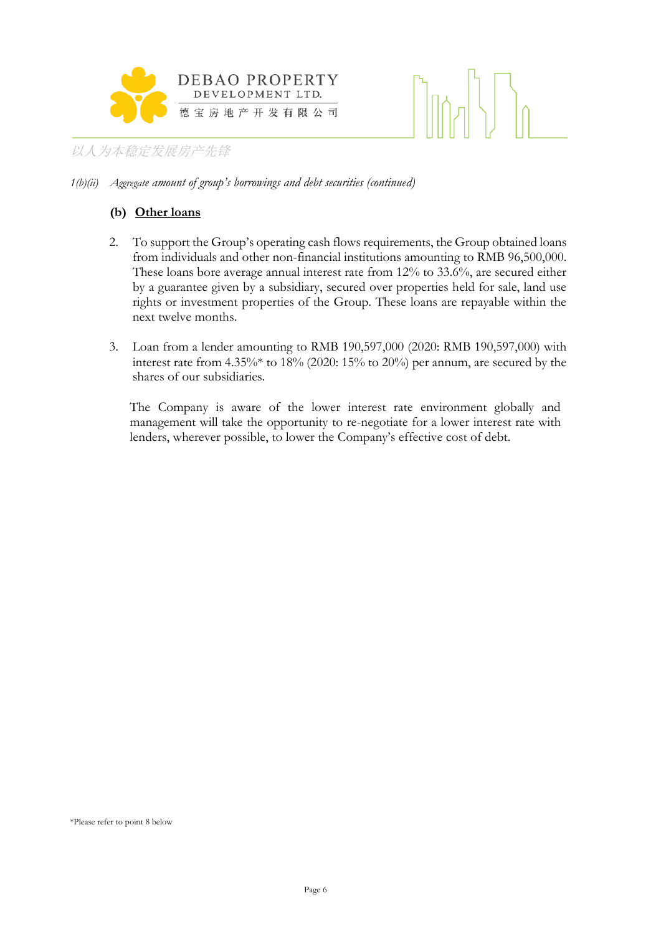

#### *1(b)(ii) Aggregate amount of group's borrowings and debt securities (continued)*

#### **(b) Other loans**

- 2. To support the Group's operating cash flows requirements, the Group obtained loans from individuals and other non-financial institutions amounting to RMB 96,500,000. These loans bore average annual interest rate from 12% to 33.6%, are secured either by a guarantee given by a subsidiary, secured over properties held for sale, land use rights or investment properties of the Group. These loans are repayable within the next twelve months.
- 3. Loan from a lender amounting to RMB 190,597,000 (2020: RMB 190,597,000) with interest rate from 4.35%\* to 18% (2020: 15% to 20%) per annum, are secured by the shares of our subsidiaries.

The Company is aware of the lower interest rate environment globally and management will take the opportunity to re-negotiate for a lower interest rate with lenders, wherever possible, to lower the Company's effective cost of debt.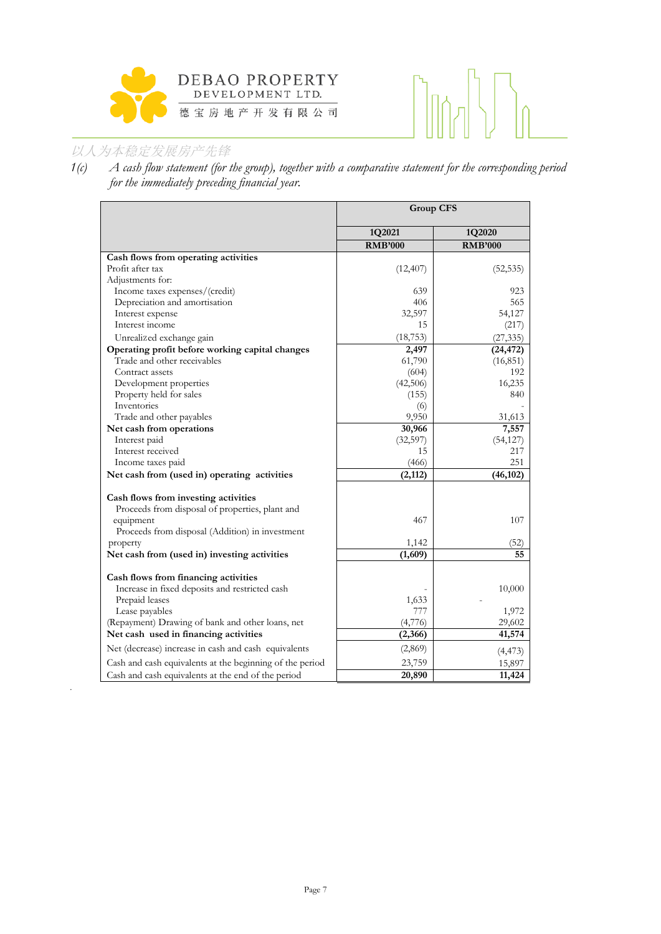

# 

# 以人为本稳定发展房产先锋

.

*1(c) A cash flow statement (for the group), together with a comparative statement for the corresponding period for the immediately preceding financial year.*

|                                                          | <b>Group CFS</b> |                |  |
|----------------------------------------------------------|------------------|----------------|--|
|                                                          | 1Q2021           | 1Q2020         |  |
|                                                          | <b>RMB'000</b>   | <b>RMB'000</b> |  |
| Cash flows from operating activities                     |                  |                |  |
| Profit after tax                                         | (12, 407)        | (52, 535)      |  |
| Adjustments for:                                         |                  |                |  |
| Income taxes expenses/(credit)                           | 639              | 923            |  |
| Depreciation and amortisation                            | 406              | 565            |  |
| Interest expense                                         | 32,597           | 54,127         |  |
| Interest income                                          | 15               | (217)          |  |
| Unrealized exchange gain                                 | (18, 753)        | (27, 335)      |  |
| Operating profit before working capital changes          | 2,497            | (24, 472)      |  |
| Trade and other receivables                              | 61,790           | (16, 851)      |  |
| Contract assets                                          | (604)            | 192            |  |
| Development properties                                   | (42,506)         | 16,235         |  |
| Property held for sales                                  | (155)            | 840            |  |
| Inventories                                              | (6)              |                |  |
| Trade and other payables                                 | 9,950            | 31,613         |  |
| Net cash from operations                                 | 30,966           | 7,557          |  |
| Interest paid                                            | (32,597)         | (54, 127)      |  |
| Interest received                                        | 15               | 217            |  |
| Income taxes paid                                        | (466)            | 251            |  |
| Net cash from (used in) operating activities             | (2,112)          | (46, 102)      |  |
|                                                          |                  |                |  |
| Cash flows from investing activities                     |                  |                |  |
| Proceeds from disposal of properties, plant and          | 467              | 107            |  |
| equipment                                                |                  |                |  |
| Proceeds from disposal (Addition) in investment          | 1,142            | (52)           |  |
| property                                                 | (1,609)          | 55             |  |
| Net cash from (used in) investing activities             |                  |                |  |
| Cash flows from financing activities                     |                  |                |  |
| Increase in fixed deposits and restricted cash           |                  | 10,000         |  |
| Prepaid leases                                           | 1,633            |                |  |
| Lease payables                                           | 777              | 1,972          |  |
| (Repayment) Drawing of bank and other loans, net         | (4,776)          | 29,602         |  |
| Net cash used in financing activities                    | (2,366)          | 41,574         |  |
| Net (decrease) increase in cash and cash equivalents     | (2,869)          | (4, 473)       |  |
| Cash and cash equivalents at the beginning of the period | 23,759           | 15,897         |  |
| Cash and cash equivalents at the end of the period       | 20,890           | 11,424         |  |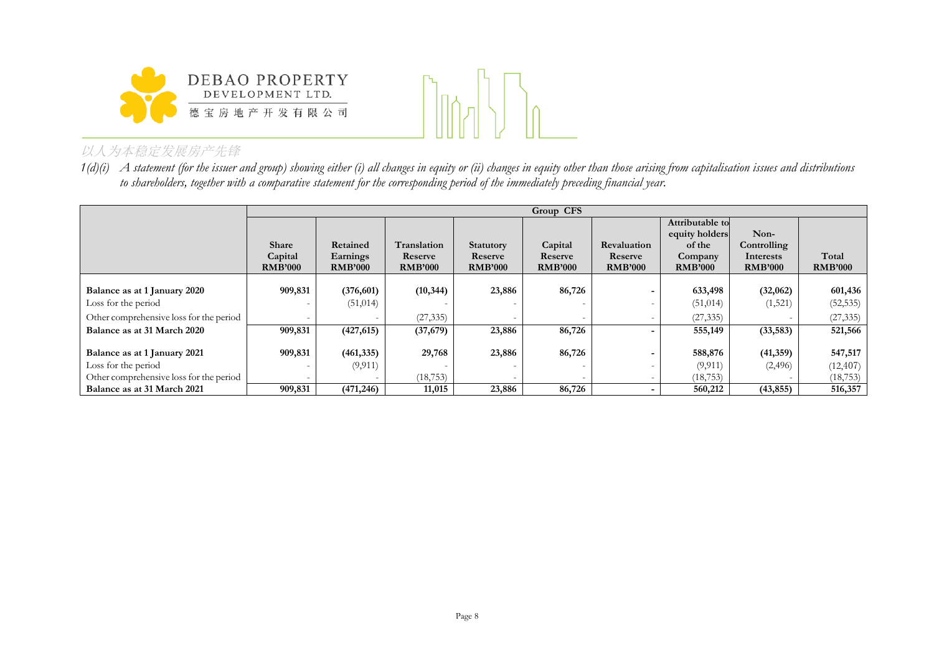



*1(d)(i) A statement (for the issuer and group) showing either (i) all changes in equity or (ii) changes in equity other than those arising from capitalisation issues and distributions to shareholders, together with a comparative statement for the corresponding period of the immediately preceding financial year.*

|                                         |                           | Group CFS                  |                           |                           |                           |                           |                           |                             |                         |
|-----------------------------------------|---------------------------|----------------------------|---------------------------|---------------------------|---------------------------|---------------------------|---------------------------|-----------------------------|-------------------------|
|                                         |                           |                            |                           |                           |                           |                           | Attributable to           |                             |                         |
|                                         |                           |                            |                           |                           |                           |                           | equity holders            | Non-                        |                         |
|                                         | <b>Share</b>              | Retained                   | Translation               | Statutory                 | Capital                   | Revaluation               | of the                    | Controlling                 |                         |
|                                         | Capital<br><b>RMB'000</b> | Earnings<br><b>RMB'000</b> | Reserve<br><b>RMB'000</b> | Reserve<br><b>RMB'000</b> | Reserve<br><b>RMB'000</b> | Reserve<br><b>RMB'000</b> | Company<br><b>RMB'000</b> | Interests<br><b>RMB'000</b> | Total<br><b>RMB'000</b> |
|                                         |                           |                            |                           |                           |                           |                           |                           |                             |                         |
| Balance as at 1 January 2020            | 909,831                   | (376,601)                  | (10, 344)                 | 23,886                    | 86,726                    |                           | 633,498                   | (32,062)                    | 601,436                 |
| Loss for the period                     |                           | (51, 014)                  |                           |                           |                           | $\overline{\phantom{0}}$  | (51, 014)                 | (1, 521)                    | (52, 535)               |
| Other comprehensive loss for the period |                           |                            | (27, 335)                 |                           |                           | $\overline{\phantom{0}}$  | (27, 335)                 |                             | (27, 335)               |
| Balance as at 31 March 2020             | 909,831                   | (427, 615)                 | (37,679)                  | 23,886                    | 86,726                    | $\overline{\phantom{0}}$  | 555,149                   | (33, 583)                   | 521,566                 |
|                                         |                           |                            |                           |                           |                           |                           |                           |                             |                         |
| Balance as at 1 January 2021            | 909,831                   | (461, 335)                 | 29,768                    | 23,886                    | 86,726                    | $\overline{\phantom{0}}$  | 588,876                   | (41,359)                    | 547,517                 |
| Loss for the period                     |                           | (9, 911)                   |                           |                           |                           | $\overline{\phantom{0}}$  | (9, 911)                  | (2,496)                     | (12, 407)               |
| Other comprehensive loss for the period |                           |                            | (18, 753)                 |                           |                           | $\overline{\phantom{a}}$  | (18, 753)                 |                             | (18, 753)               |
| Balance as at 31 March 2021             | 909,831                   | (471, 246)                 | 11,015                    | 23,886                    | 86,726                    | $\blacksquare$            | 560,212                   | (43, 855)                   | 516,357                 |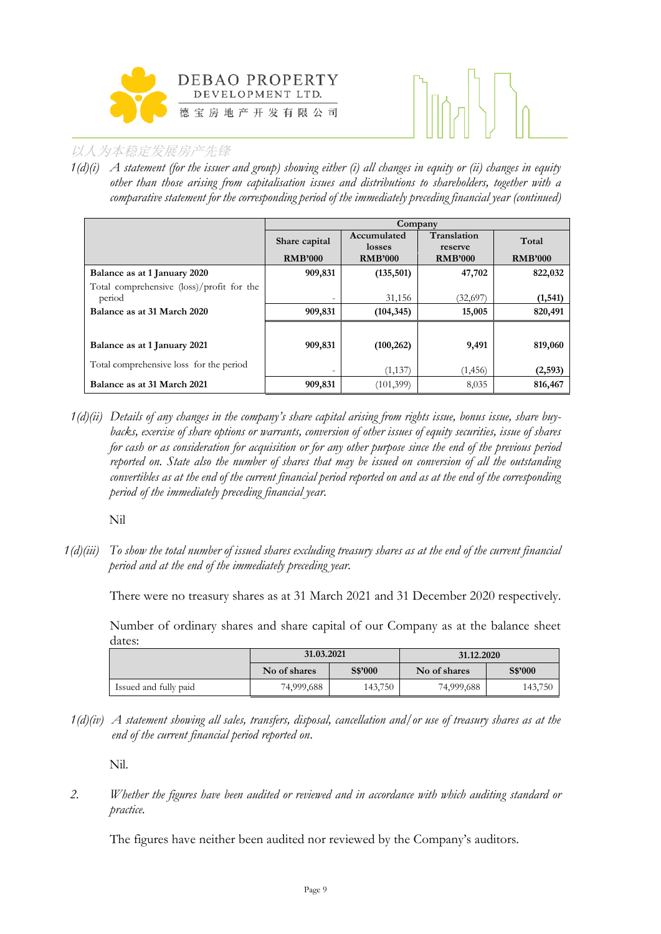



*1(d)(i) A statement (for the issuer and group) showing either (i) all changes in equity or (ii) changes in equity other than those arising from capitalisation issues and distributions to shareholders, together with a comparative statement for the corresponding period of the immediately preceding financial year (continued)*

|                                           |                          | Company               |                        |                |  |
|-------------------------------------------|--------------------------|-----------------------|------------------------|----------------|--|
|                                           | Share capital            | Accumulated<br>losses | Translation<br>reserve | Total          |  |
|                                           | <b>RMB'000</b>           | <b>RMB'000</b>        | <b>RMB'000</b>         | <b>RMB'000</b> |  |
| Balance as at 1 January 2020              | 909,831                  | (135,501)             | 47,702                 | 822,032        |  |
| Total comprehensive (loss)/profit for the |                          |                       |                        |                |  |
| period                                    | $\overline{\phantom{0}}$ | 31,156                | (32,697)               | (1, 541)       |  |
| Balance as at 31 March 2020               | 909,831                  | (104, 345)            | 15,005                 | 820,491        |  |
|                                           |                          |                       |                        |                |  |
| Balance as at 1 January 2021              | 909,831                  | (100, 262)            | 9,491                  | 819,060        |  |
| Total comprehensive loss for the period   | $\overline{\phantom{0}}$ | (1,137)               | (1, 456)               | (2, 593)       |  |
| Balance as at 31 March 2021               | 909,831                  | (101, 399)            | 8,035                  | 816,467        |  |

*1(d)(ii) Details of any changes in the company's share capital arising from rights issue, bonus issue, share buybacks, exercise of share options or warrants, conversion of other issues of equity securities, issue of shares for cash or as consideration for acquisition or for any other purpose since the end of the previous period reported on. State also the number of shares that may be issued on conversion of all the outstanding convertibles as at the end of the current financial period reported on and as at the end of the corresponding period of the immediately preceding financial year.*

Nil

*1(d)(iii) To show the total number of issued shares excluding treasury shares as at the end of the current financial period and at the end of the immediately preceding year.* 

There were no treasury shares as at 31 March 2021 and 31 December 2020 respectively.

Number of ordinary shares and share capital of our Company as at the balance sheet dates:

|                       | 31.03.2021   |         | 31.12.2020   |         |  |
|-----------------------|--------------|---------|--------------|---------|--|
|                       | No of shares | S\$'000 | No of shares | S\$'000 |  |
| Issued and fully paid | 74,999,688   | 143,750 | 74,999,688   | 143,750 |  |

*1(d)(iv) A statement showing all sales, transfers, disposal, cancellation and/or use of treasury shares as at the end of the current financial period reported on*.

Nil.

*2. Whether the figures have been audited or reviewed and in accordance with which auditing standard or practice.*

The figures have neither been audited nor reviewed by the Company's auditors.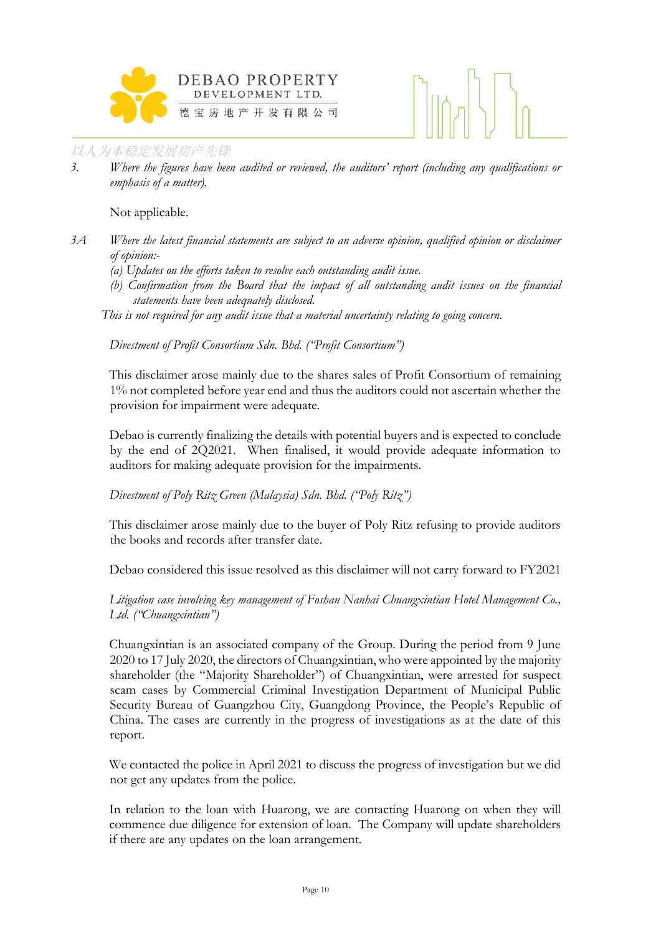



*3. Where the figures have been audited or reviewed, the auditors' report (including any qualifications or emphasis of a matter).*

Not applicable.

*3A Where the latest financial statements are subject to an adverse opinion, qualified opinion or disclaimer of opinion:-*

- *(a) Updates on the efforts taken to resolve each outstanding audit issue.*
- *(b) Confirmation from the Board that the impact of all outstanding audit issues on the financial statements have been adequately disclosed.*

*This is not required for any audit issue that a material uncertainty relating to going concern.* 

*Divestment of Profit Consortium Sdn. Bhd. ("Profit Consortium")*

This disclaimer arose mainly due to the shares sales of Profit Consortium of remaining 1% not completed before year end and thus the auditors could not ascertain whether the provision for impairment were adequate.

Debao is currently finalizing the details with potential buyers and is expected to conclude by the end of 2Q2021. When finalised, it would provide adequate information to auditors for making adequate provision for the impairments.

#### *Divestment of Poly Ritz Green (Malaysia) Sdn. Bhd. ("Poly Ritz")*

This disclaimer arose mainly due to the buyer of Poly Ritz refusing to provide auditors the books and records after transfer date.

Debao considered this issue resolved as this disclaimer will not carry forward to FY2021

*Litigation case involving key management of Foshan Nanhai Chuangxintian Hotel Management Co., Ltd. ("Chuangxintian")*

Chuangxintian is an associated company of the Group. During the period from 9 June 2020 to 17 July 2020, the directors of Chuangxintian, who were appointed by the majority shareholder (the "Majority Shareholder") of Chuangxintian, were arrested for suspect scam cases by Commercial Criminal Investigation Department of Municipal Public Security Bureau of Guangzhou City, Guangdong Province, the People's Republic of China. The cases are currently in the progress of investigations as at the date of this report.

We contacted the police in April 2021 to discuss the progress of investigation but we did not get any updates from the police.

In relation to the loan with Huarong, we are contacting Huarong on when they will commence due diligence for extension of loan. The Company will update shareholders if there are any updates on the loan arrangement.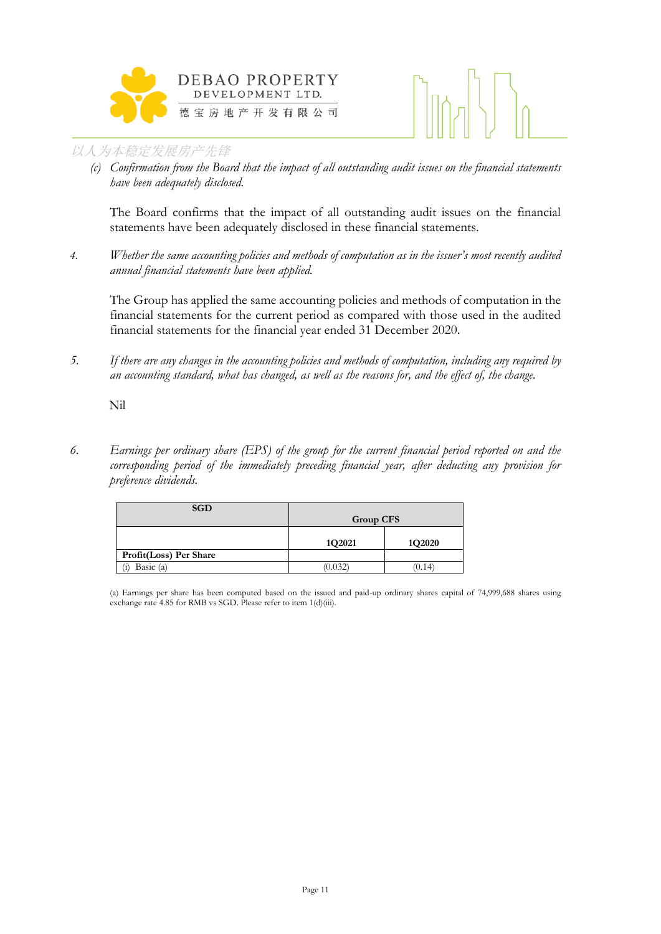



*(c) Confirmation from the Board that the impact of all outstanding audit issues on the financial statements have been adequately disclosed.* 

The Board confirms that the impact of all outstanding audit issues on the financial statements have been adequately disclosed in these financial statements.

*4. Whether the same accounting policies and methods of computation as in the issuer's most recently audited annual financial statements have been applied.*

The Group has applied the same accounting policies and methods of computation in the financial statements for the current period as compared with those used in the audited financial statements for the financial year ended 31 December 2020.

*5. If there are any changes in the accounting policies and methods of computation, including any required by an accounting standard, what has changed, as well as the reasons for, and the effect of, the change.*

Nil

*6. Earnings per ordinary share (EPS) of the group for the current financial period reported on and the corresponding period of the immediately preceding financial year, after deducting any provision for preference dividends.*

| <b>SGD</b>             | <b>Group CFS</b> |        |  |  |
|------------------------|------------------|--------|--|--|
|                        | 1Q2021           | 1Q2020 |  |  |
| Profit(Loss) Per Share |                  |        |  |  |
| Basic $(a)$            | 0.032            | (0.14) |  |  |

(a) Earnings per share has been computed based on the issued and paid-up ordinary shares capital of 74,999,688 shares using exchange rate 4.85 for RMB vs SGD. Please refer to item 1(d)(iii).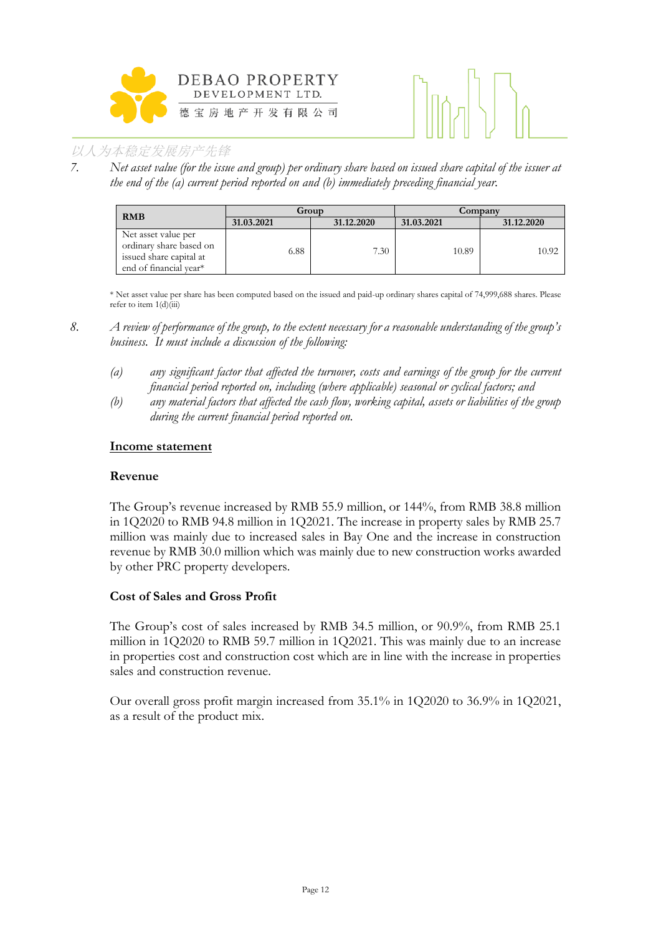



*7. Net asset value (for the issue and group) per ordinary share based on issued share capital of the issuer at the end of the (a) current period reported on and (b) immediately preceding financial year.*

| <b>RMB</b>                                                                                          | Group      |            | Company    |            |  |
|-----------------------------------------------------------------------------------------------------|------------|------------|------------|------------|--|
|                                                                                                     | 31.03.2021 | 31.12.2020 | 31.03.2021 | 31.12.2020 |  |
| Net asset value per<br>ordinary share based on<br>issued share capital at<br>end of financial year* | 6.88       | 7.30       | 10.89      | 10.92      |  |

\* Net asset value per share has been computed based on the issued and paid-up ordinary shares capital of 74,999,688 shares. Please refer to item  $1(d)(iii)$ 

- *(a) any significant factor that affected the turnover, costs and earnings of the group for the current financial period reported on, including (where applicable) seasonal or cyclical factors; and*
- *(b) any material factors that affected the cash flow, working capital, assets or liabilities of the group during the current financial period reported on.*

#### **Income statement**

#### **Revenue**

The Group's revenue increased by RMB 55.9 million, or 144%, from RMB 38.8 million in 1Q2020 to RMB 94.8 million in 1Q2021. The increase in property sales by RMB 25.7 million was mainly due to increased sales in Bay One and the increase in construction revenue by RMB 30.0 million which was mainly due to new construction works awarded by other PRC property developers.

#### **Cost of Sales and Gross Profit**

The Group's cost of sales increased by RMB 34.5 million, or 90.9%, from RMB 25.1 million in 1Q2020 to RMB 59.7 million in 1Q2021. This was mainly due to an increase in properties cost and construction cost which are in line with the increase in properties sales and construction revenue.

Our overall gross profit margin increased from 35.1% in 1Q2020 to 36.9% in 1Q2021, as a result of the product mix.

*<sup>8.</sup> A review of performance of the group, to the extent necessary for a reasonable understanding of the group's business. It must include a discussion of the following:*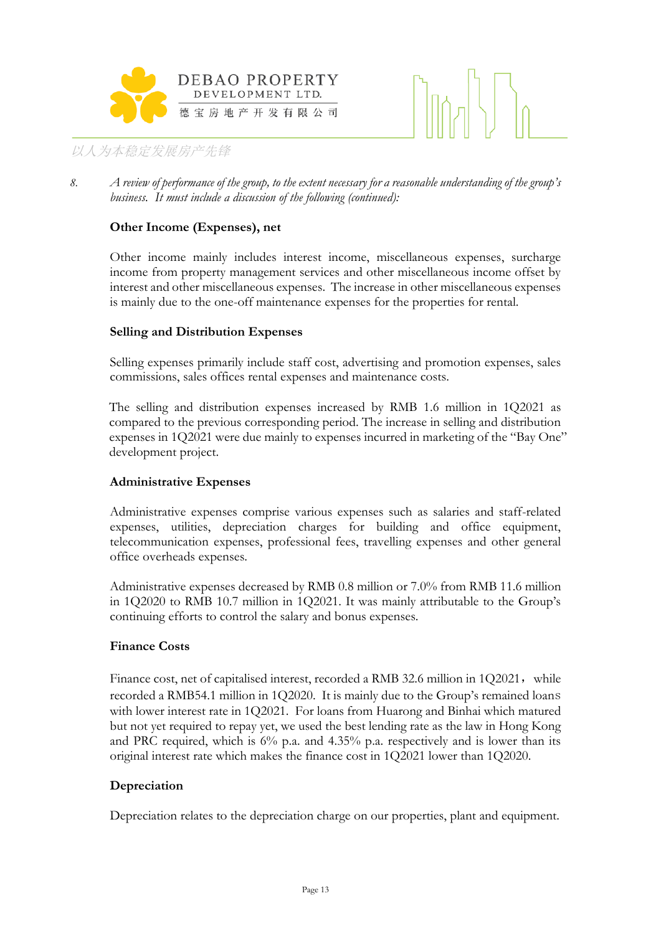



*8. A review of performance of the group, to the extent necessary for a reasonable understanding of the group's business. It must include a discussion of the following (continued):*

#### **Other Income (Expenses), net**

Other income mainly includes interest income, miscellaneous expenses, surcharge income from property management services and other miscellaneous income offset by interest and other miscellaneous expenses. The increase in other miscellaneous expenses is mainly due to the one-off maintenance expenses for the properties for rental.

#### **Selling and Distribution Expenses**

Selling expenses primarily include staff cost, advertising and promotion expenses, sales commissions, sales offices rental expenses and maintenance costs.

The selling and distribution expenses increased by RMB 1.6 million in 1Q2021 as compared to the previous corresponding period. The increase in selling and distribution expenses in 1Q2021 were due mainly to expenses incurred in marketing of the "Bay One" development project.

#### **Administrative Expenses**

Administrative expenses comprise various expenses such as salaries and staff-related expenses, utilities, depreciation charges for building and office equipment, telecommunication expenses, professional fees, travelling expenses and other general office overheads expenses.

Administrative expenses decreased by RMB 0.8 million or 7.0% from RMB 11.6 million in 1Q2020 to RMB 10.7 million in 1Q2021. It was mainly attributable to the Group's continuing efforts to control the salary and bonus expenses.

#### **Finance Costs**

Finance cost, net of capitalised interest, recorded a RMB 32.6 million in  $1Q2021$ , while recorded a RMB54.1 million in 1Q2020. It is mainly due to the Group's remained loans with lower interest rate in 1Q2021. For loans from Huarong and Binhai which matured but not yet required to repay yet, we used the best lending rate as the law in Hong Kong and PRC required, which is 6% p.a. and 4.35% p.a. respectively and is lower than its original interest rate which makes the finance cost in 1Q2021 lower than 1Q2020.

#### **Depreciation**

Depreciation relates to the depreciation charge on our properties, plant and equipment.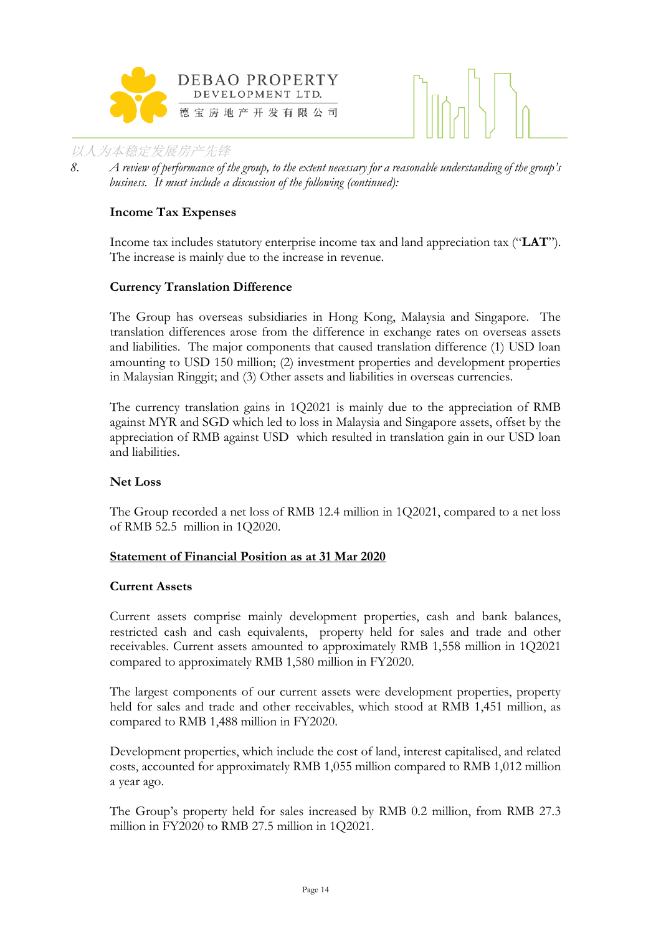



*8. A review of performance of the group, to the extent necessary for a reasonable understanding of the group's business. It must include a discussion of the following (continued):*

#### **Income Tax Expenses**

Income tax includes statutory enterprise income tax and land appreciation tax ("**LAT**"). The increase is mainly due to the increase in revenue.

#### **Currency Translation Difference**

The Group has overseas subsidiaries in Hong Kong, Malaysia and Singapore. The translation differences arose from the difference in exchange rates on overseas assets and liabilities. The major components that caused translation difference (1) USD loan amounting to USD 150 million; (2) investment properties and development properties in Malaysian Ringgit; and (3) Other assets and liabilities in overseas currencies.

The currency translation gains in 1Q2021 is mainly due to the appreciation of RMB against MYR and SGD which led to loss in Malaysia and Singapore assets, offset by the appreciation of RMB against USD which resulted in translation gain in our USD loan and liabilities.

#### **Net Loss**

The Group recorded a net loss of RMB 12.4 million in 1Q2021, compared to a net loss of RMB 52.5 million in 1Q2020.

#### **Statement of Financial Position as at 31 Mar 2020**

#### **Current Assets**

Current assets comprise mainly development properties, cash and bank balances, restricted cash and cash equivalents, property held for sales and trade and other receivables. Current assets amounted to approximately RMB 1,558 million in 1Q2021 compared to approximately RMB 1,580 million in FY2020.

The largest components of our current assets were development properties, property held for sales and trade and other receivables, which stood at RMB 1,451 million, as compared to RMB 1,488 million in FY2020.

Development properties, which include the cost of land, interest capitalised, and related costs, accounted for approximately RMB 1,055 million compared to RMB 1,012 million a year ago.

The Group's property held for sales increased by RMB 0.2 million, from RMB 27.3 million in FY2020 to RMB 27.5 million in 1Q2021.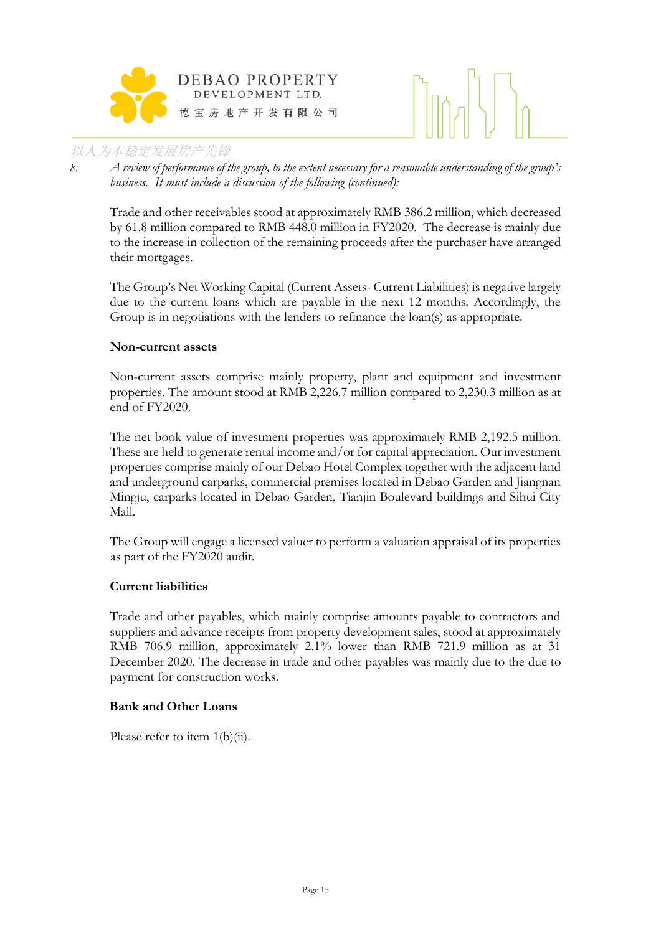



*8. A review of performance of the group, to the extent necessary for a reasonable understanding of the group's business. It must include a discussion of the following (continued):*

Trade and other receivables stood at approximately RMB 386.2 million, which decreased by 61.8 million compared to RMB 448.0 million in FY2020. The decrease is mainly due to the increase in collection of the remaining proceeds after the purchaser have arranged their mortgages.

The Group's Net Working Capital (Current Assets- Current Liabilities) is negative largely due to the current loans which are payable in the next 12 months. Accordingly, the Group is in negotiations with the lenders to refinance the loan(s) as appropriate.

#### **Non-current assets**

Non-current assets comprise mainly property, plant and equipment and investment properties. The amount stood at RMB 2,226.7 million compared to 2,230.3 million as at end of FY2020.

The net book value of investment properties was approximately RMB 2,192.5 million. These are held to generate rental income and/or for capital appreciation. Our investment properties comprise mainly of our Debao Hotel Complex together with the adjacent land and underground carparks, commercial premises located in Debao Garden and Jiangnan Mingju, carparks located in Debao Garden, Tianjin Boulevard buildings and Sihui City Mall.

The Group will engage a licensed valuer to perform a valuation appraisal of its properties as part of the FY2020 audit.

#### **Current liabilities**

Trade and other payables, which mainly comprise amounts payable to contractors and suppliers and advance receipts from property development sales, stood at approximately RMB 706.9 million, approximately 2.1% lower than RMB 721.9 million as at 31 December 2020. The decrease in trade and other payables was mainly due to the due to payment for construction works.

#### **Bank and Other Loans**

Please refer to item 1(b)(ii).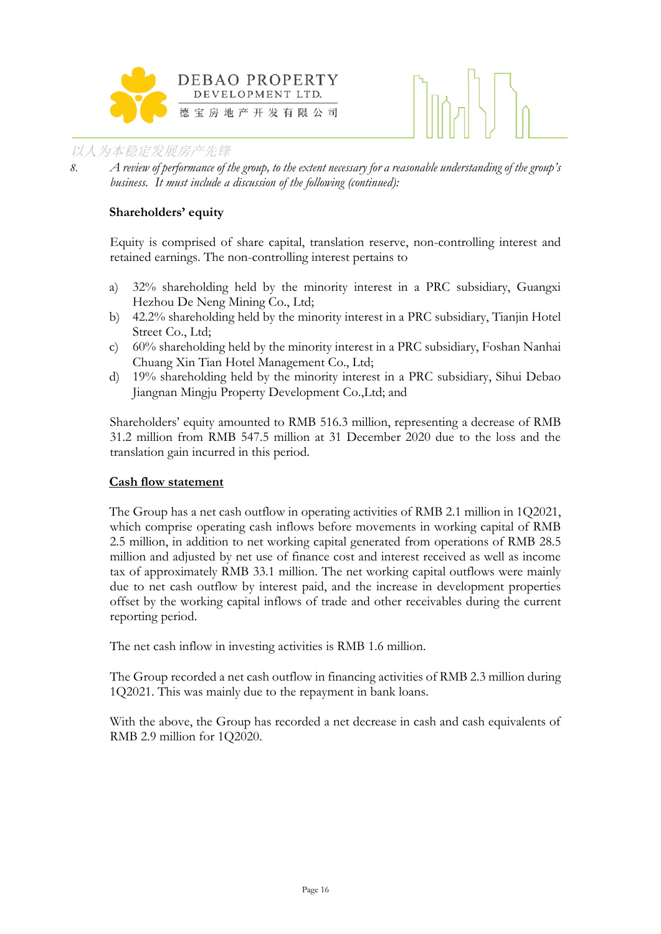

*8. A review of performance of the group, to the extent necessary for a reasonable understanding of the group's business. It must include a discussion of the following (continued):*

#### **Shareholders' equity**

Equity is comprised of share capital, translation reserve, non-controlling interest and retained earnings. The non-controlling interest pertains to

- a) 32% shareholding held by the minority interest in a PRC subsidiary, Guangxi Hezhou De Neng Mining Co., Ltd;
- b) 42.2% shareholding held by the minority interest in a PRC subsidiary, Tianjin Hotel Street Co., Ltd;
- c) 60% shareholding held by the minority interest in a PRC subsidiary, Foshan Nanhai Chuang Xin Tian Hotel Management Co., Ltd;
- d) 19% shareholding held by the minority interest in a PRC subsidiary, Sihui Debao Jiangnan Mingju Property Development Co.,Ltd; and

Shareholders' equity amounted to RMB 516.3 million, representing a decrease of RMB 31.2 million from RMB 547.5 million at 31 December 2020 due to the loss and the translation gain incurred in this period.

#### **Cash flow statement**

The Group has a net cash outflow in operating activities of RMB 2.1 million in 1Q2021, which comprise operating cash inflows before movements in working capital of RMB 2.5 million, in addition to net working capital generated from operations of RMB 28.5 million and adjusted by net use of finance cost and interest received as well as income tax of approximately RMB 33.1 million. The net working capital outflows were mainly due to net cash outflow by interest paid, and the increase in development properties offset by the working capital inflows of trade and other receivables during the current reporting period.

The net cash inflow in investing activities is RMB 1.6 million.

The Group recorded a net cash outflow in financing activities of RMB 2.3 million during 1Q2021. This was mainly due to the repayment in bank loans.

With the above, the Group has recorded a net decrease in cash and cash equivalents of RMB 2.9 million for 1Q2020.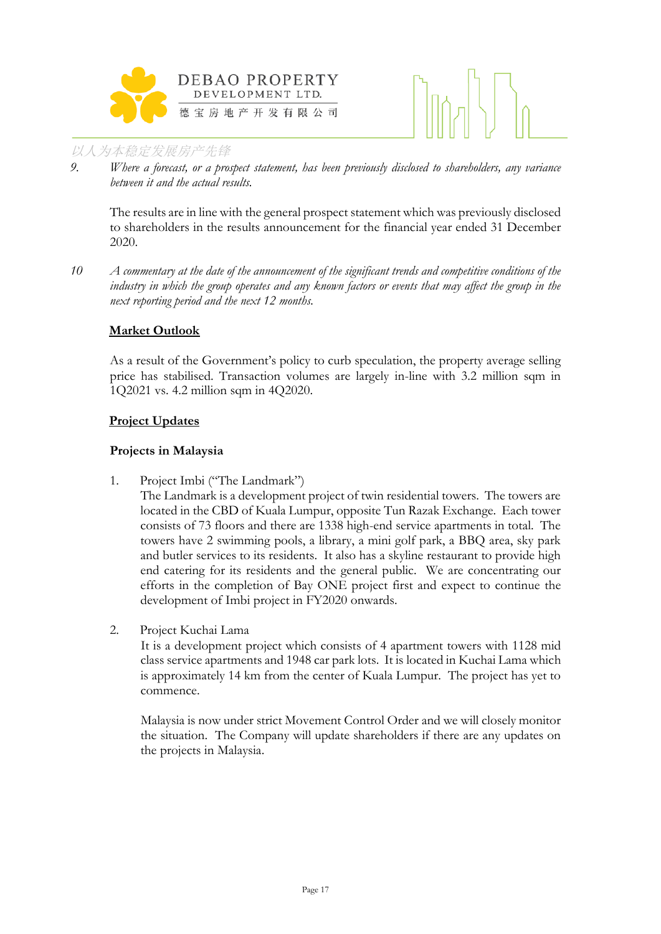



*9. Where a forecast, or a prospect statement, has been previously disclosed to shareholders, any variance between it and the actual results.*

The results are in line with the general prospect statement which was previously disclosed to shareholders in the results announcement for the financial year ended 31 December 2020.

*10 A commentary at the date of the announcement of the significant trends and competitive conditions of the industry in which the group operates and any known factors or events that may affect the group in the next reporting period and the next 12 months.*

#### **Market Outlook**

As a result of the Government's policy to curb speculation, the property average selling price has stabilised. Transaction volumes are largely in-line with 3.2 million sqm in 1Q2021 vs. 4.2 million sqm in 4Q2020.

#### **Project Updates**

#### **Projects in Malaysia**

1. Project Imbi ("The Landmark")

The Landmark is a development project of twin residential towers. The towers are located in the CBD of Kuala Lumpur, opposite Tun Razak Exchange. Each tower consists of 73 floors and there are 1338 high-end service apartments in total. The towers have 2 swimming pools, a library, a mini golf park, a BBQ area, sky park and butler services to its residents. It also has a skyline restaurant to provide high end catering for its residents and the general public. We are concentrating our efforts in the completion of Bay ONE project first and expect to continue the development of Imbi project in FY2020 onwards.

2. Project Kuchai Lama

It is a development project which consists of 4 apartment towers with 1128 mid class service apartments and 1948 car park lots. It is located in Kuchai Lama which is approximately 14 km from the center of Kuala Lumpur. The project has yet to commence.

Malaysia is now under strict Movement Control Order and we will closely monitor the situation. The Company will update shareholders if there are any updates on the projects in Malaysia.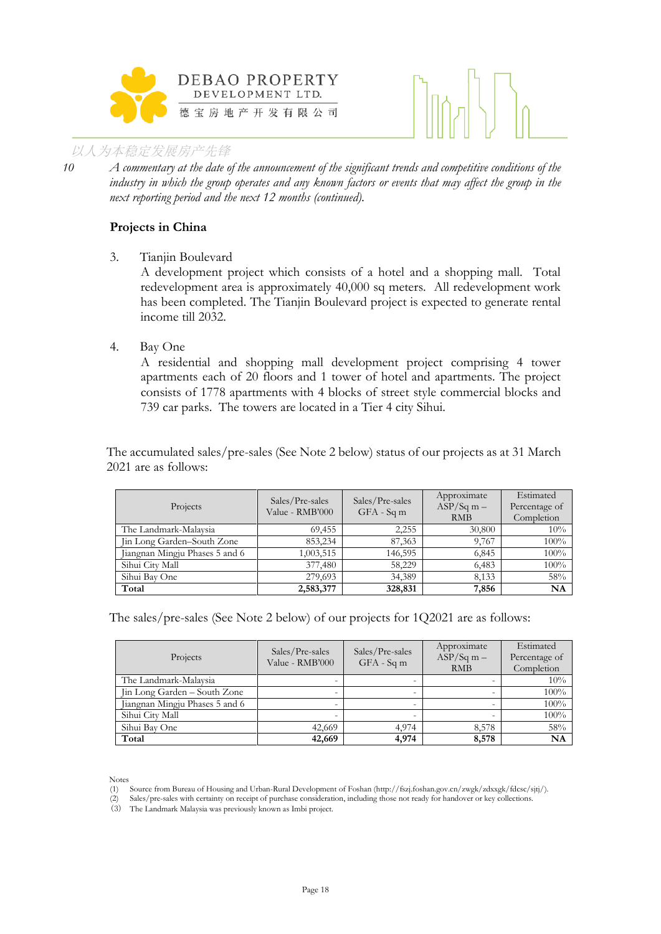



*10 A commentary at the date of the announcement of the significant trends and competitive conditions of the industry in which the group operates and any known factors or events that may affect the group in the next reporting period and the next 12 months (continued).*

#### **Projects in China**

3. Tianjin Boulevard

A development project which consists of a hotel and a shopping mall. Total redevelopment area is approximately 40,000 sq meters. All redevelopment work has been completed. The Tianjin Boulevard project is expected to generate rental income till 2032.

4. Bay One

A residential and shopping mall development project comprising 4 tower apartments each of 20 floors and 1 tower of hotel and apartments. The project consists of 1778 apartments with 4 blocks of street style commercial blocks and 739 car parks. The towers are located in a Tier 4 city Sihui.

The accumulated sales/pre-sales (See Note 2 below) status of our projects as at 31 March 2021 are as follows:

| Projects                       | Sales/Pre-sales<br>Value - RMB'000 | Sales/Pre-sales<br>$GFA - Sqm$ | Approximate<br>$ASP/Sq m -$<br><b>RMB</b> | Estimated<br>Percentage of<br>Completion |
|--------------------------------|------------------------------------|--------------------------------|-------------------------------------------|------------------------------------------|
| The Landmark-Malaysia          | 69,455                             | 2,255                          | 30,800                                    | 10%                                      |
| Jin Long Garden-South Zone     | 853,234                            | 87,363                         | 9.767                                     | 100%                                     |
| Jiangnan Mingju Phases 5 and 6 | 1,003,515                          | 146,595                        | 6,845                                     | 100%                                     |
| Sihui City Mall                | 377,480                            | 58,229                         | 6,483                                     | 100%                                     |
| Sihui Bay One                  | 279,693                            | 34,389                         | 8,133                                     | 58%                                      |
| Total                          | 2,583,377                          | 328,831                        | 7,856                                     | NA                                       |

The sales/pre-sales (See Note 2 below) of our projects for 1Q2021 are as follows:

| Projects                       | Sales/Pre-sales<br>Value - RMB'000 | Sales/Pre-sales<br>$GFA - Sqm$ | Approximate<br>$ASP/Sq$ m $-$<br><b>RMB</b> | Estimated<br>Percentage of<br>Completion |
|--------------------------------|------------------------------------|--------------------------------|---------------------------------------------|------------------------------------------|
| The Landmark-Malaysia          |                                    |                                |                                             | 10%                                      |
| Jin Long Garden - South Zone   | -                                  |                                |                                             | 100%                                     |
| Jiangnan Mingju Phases 5 and 6 | $\overline{\phantom{0}}$           |                                |                                             | 100%                                     |
| Sihui City Mall                |                                    |                                |                                             | 100%                                     |
| Sihui Bay One                  | 42,669                             | 4.974                          | 8,578                                       | 58%                                      |
| Total                          | 42,669                             | 4,974                          | 8,578                                       | <b>NA</b>                                |

Notes

<sup>(1)</sup> Source from Bureau of Housing and Urban-Rural Development of Foshan (http://fszj.foshan.gov.cn/zwgk/zdxxgk/fdcsc/sjtj/).

<sup>(2)</sup> Sales/pre-sales with certainty on receipt of purchase consideration, including those not ready for handover or key collections.

<sup>(3)</sup> The Landmark Malaysia was previously known as Imbi project.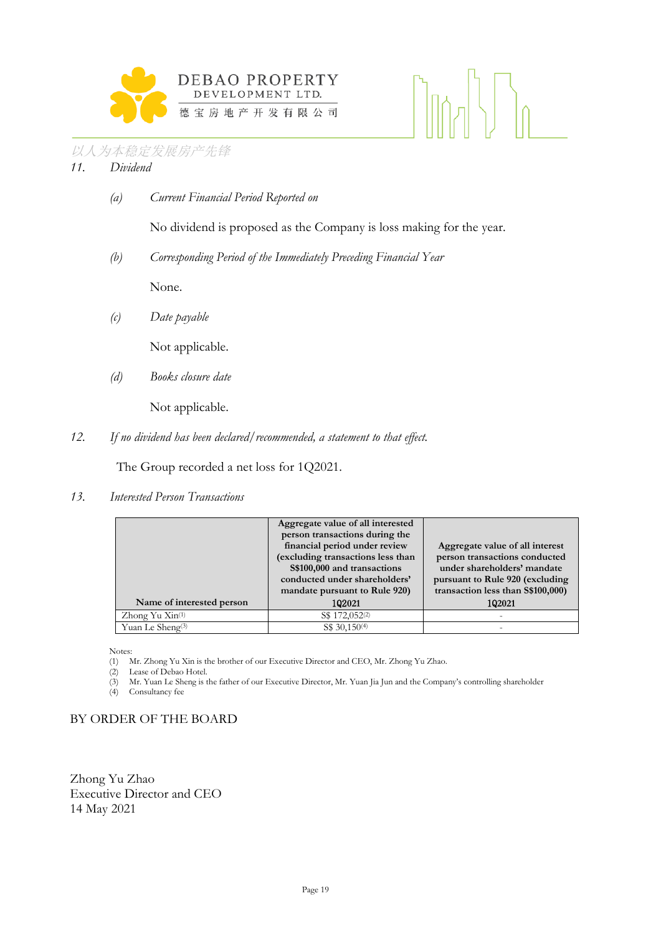

#### 以人为本稳定发展房产先锋 *11. Dividend*

*(a) Current Financial Period Reported on*

No dividend is proposed as the Company is loss making for the year.

*(b) Corresponding Period of the Immediately Preceding Financial Year*

None.

*(c) Date payable*

Not applicable.

*(d) Books closure date*

Not applicable.

*12. If no dividend has been declared/recommended, a statement to that effect.*

The Group recorded a net loss for 1Q2021.

*13. Interested Person Transactions*

|                                         | Aggregate value of all interested<br>person transactions during the<br>financial period under review<br>(excluding transactions less than<br>S\$100,000 and transactions<br>conducted under shareholders'<br>mandate pursuant to Rule 920) | Aggregate value of all interest<br>person transactions conducted<br>under shareholders' mandate<br>pursuant to Rule 920 (excluding<br>transaction less than \$\$100,000) |
|-----------------------------------------|--------------------------------------------------------------------------------------------------------------------------------------------------------------------------------------------------------------------------------------------|--------------------------------------------------------------------------------------------------------------------------------------------------------------------------|
| Name of interested person               | 102021                                                                                                                                                                                                                                     | 102021                                                                                                                                                                   |
| $\chi$ hong Yu $\chi$ in <sup>(1)</sup> | S\$ 172,052 <sup>(2)</sup>                                                                                                                                                                                                                 |                                                                                                                                                                          |
| Yuan Le Sheng <sup>(3)</sup>            | S\$ 30,150 <sup>(4)</sup>                                                                                                                                                                                                                  |                                                                                                                                                                          |

Notes:

(1) Mr. Zhong Yu Xin is the brother of our Executive Director and CEO, Mr. Zhong Yu Zhao.

(2) Lease of Debao Hotel.

(3) Mr. Yuan Le Sheng is the father of our Executive Director, Mr. Yuan Jia Jun and the Company's controlling shareholder

Consultancy fee

#### BY ORDER OF THE BOARD

Zhong Yu Zhao Executive Director and CEO 14 May 2021